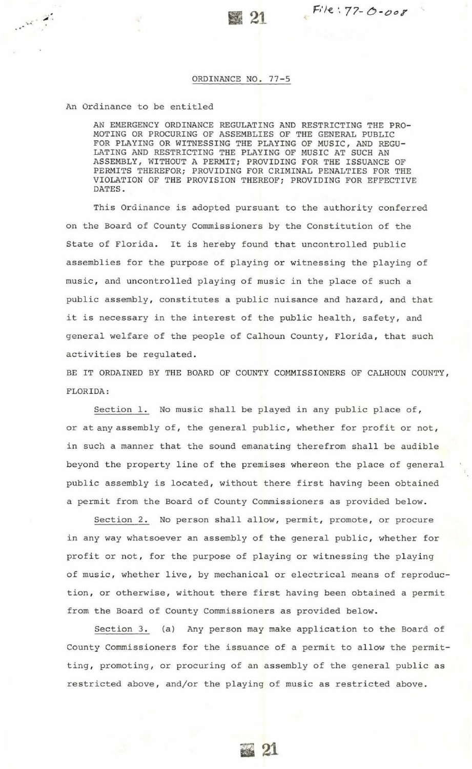## ORDINANCE NO. 77-5

## An Ordinance to be entitled

......

AN EMERGENCY ORDINANCE REGULATING AND RESTRICTING THE PRO-MOTING OR PROCURING OF ASSEMBLIES OF THE GENERAL PUBLIC FOR PLAYING OR WITNESSING THE PLAYING OF MUSIC, AND REGU-LATING AND RESTRICTING THE PLAYING OF MUSIC AT SUCH AN ASSEMBLY, WITHOUT A PERMIT; PROVIDING FOR THE ISSUANCE OF PERMITS THEREFOR; PROVIDING FOR CRIMINAL PENALTIES FOR THE VIOLATION OF THE PROVISION THEREOF; PROVIDING FOR EFFECTIVE DATES.

This Ordinance is adopted pursuant to the authority conferred on the Board of County Commissioners by the Constitution of the State of Florida. It is hereby found that uncontrolled public assemblies for the purpose of playing or witnessing the playing of music, and uncontrolled playing of music in the place of such a public assembly, constitutes a public nuisance and hazard, and that it is necessary in the interest of the public health, safety, and general welfare of the people of Calhoun County, Florida, that such activities be regulated.

BE IT ORDAINED BY THE BOARD OF COUNTY COMMISSIONERS OF CALHOUN COUNTY , FLORIDA:

Section 1. No music shall be played in any public place of, or at any assembly of, the general public, whether for profit or not, in such a manner that the sound emanating therefrom shall be audible beyond the property line of the premises whereon the place of general public assembly is located, without there first having been obtained a permit from the Board of County Commissioners as provided below.

Section 2. No person shall allow, permit, promote, or procure in any way whatsoever an assembly of the general public, whether for profit or not, for the purpose of playing or witnessing the playing of music, whether live, by mechanical or electrical means of reproduction, or otherwise, without there first having been obtained a permit from the Board of County Commissioners as provided below.

Section 3. (a) Any person may make application to the Board of County Commissioners for the issuance of a permit to allow the permitting, promoting, or procuring of an assembly of the general public as restricted above, and/or the playing of music as restricted above.

ti 21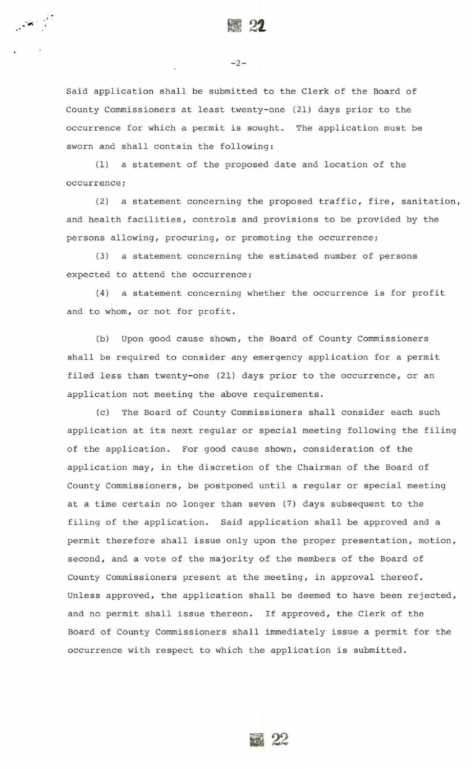$\sim$  0.000  $\sim$ 

-2-

Said application shall be submitted to the Clerk of the Board of County Commissioners at least twenty-one (21) days prior to the occurrence for which a permit is sought. The application must be sworn and shall contain the following:

(1) a statement of the proposed date and location of the occurrence;

(2) a statement concerning the proposed traffic, fire, sanitation, and health facilities, controls and provisions to be provided by the persons allowing, procuring, or promoting the occurrence;

(3) a statement concerning the estimated number of persons expected to attend the occurrence;

(4) a statement concerning whether the occurrence is for profit and to whom, or not for profit.

(b) Upon good cause shown, the Board of County Commissioners shall be required to consider any emergency application for a permit filed less than twenty-one (21) days prior to the occurrence, or an application not meeting the above requirements.

(c) The Board of County Commissioners shall consider each such application at its next regular or special meeting following the filing of the application. For good cause shown, consideration of the application may, in the discretion of the Chairman of the Board of County Commissioners, be postponed until a regular or special meeting at a time certain no longer than seven (7) days subsequent to the filing of the application. Said application shall be approved and a permit therefore shall issue only upon the proper presentation, motion, second, and a vote of the majority of the members of the Board of County Commissioners present at the meeting, in approval thereof. Unless approved, the application shall be deemed to have been rejected, and no permit shall issue thereon. If approved, the Clerk of the Board of County Commissioners shall immediately issue a permit for the occurrence with respect to which the application is submitted .

**22**